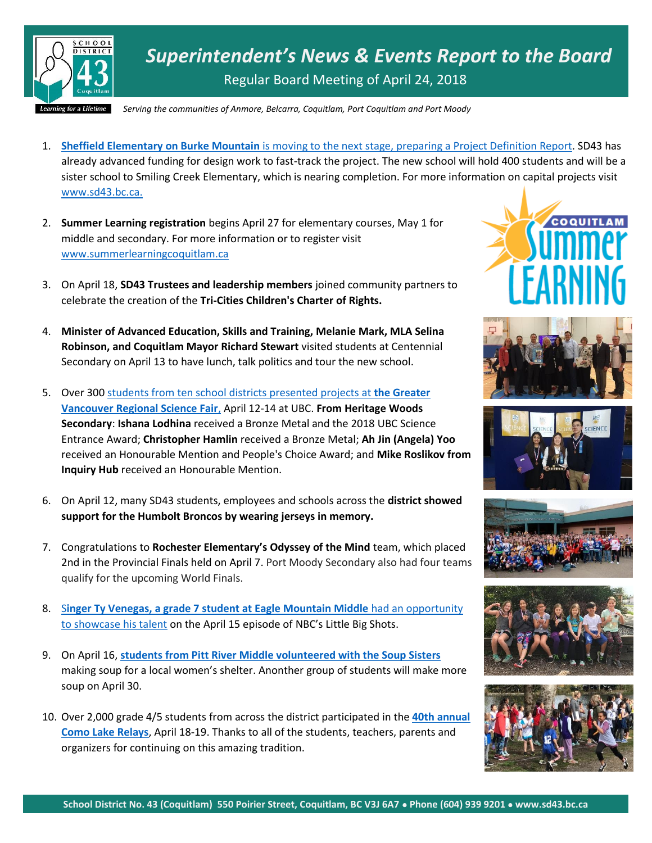

*Superintendent's News & Events Report to the Board* Regular Board Meeting of April 24, 2018

*Serving the communities of Anmore, Belcarra, Coquitlam, Port Coquitlam and Port Moody*

- 1. **Sheffield Elementary on Burke Mountain** [is moving to the next stage, preparing a Project Definition Report.](http://www.tricitynews.com/news/new-school-for-burke-mountain-closer-1.23266841) SD43 has already advanced funding for design work to fast-track the project. The new school will hold 400 students and will be a sister school to Smiling Creek Elementary, which is nearing completion. For more information on capital projects visit [www.sd43.bc.ca.](http://www.sd43.bc.ca/)
- 2. **Summer Learning registration** begins April 27 for elementary courses, May 1 for middle and secondary. For more information or to register visit [www.summerlearningcoquitlam.ca](http://www.summerlearningcoquitlam.ca/)
- 3. On April 18, **SD43 Trustees and leadership members** joined community partners to celebrate the creation of the **Tri-Cities Children's Charter of Rights.**
- 4. **Minister of Advanced Education, Skills and Training, Melanie Mark, MLA Selina Robinson, and Coquitlam Mayor Richard Stewart** visited students at Centennial Secondary on April 13 to have lunch, talk politics and tour the new school.
- 5. Over 300 students from ten school districts [presented projects at](https://www.sd43.bc.ca/Pages/newsitem.aspx?ItemID=159&ListID=c4134e88-bc0d-484f-9d4d-93c69db7f94f&TemplateID=Announcement_Item) **the Greater [Vancouver Regional Science Fair](https://www.sd43.bc.ca/Pages/newsitem.aspx?ItemID=159&ListID=c4134e88-bc0d-484f-9d4d-93c69db7f94f&TemplateID=Announcement_Item)**, April 12-14 at UBC. **From Heritage Woods Secondary**: **Ishana Lodhina** received a Bronze Metal and the 2018 UBC Science Entrance Award; **Christopher Hamlin** received a Bronze Metal; **Ah Jin (Angela) Yoo** received an Honourable Mention and People's Choice Award; and **Mike Roslikov from Inquiry Hub** received an Honourable Mention.
- 6. On April 12, many SD43 students, employees and schools across the **district showed support for the Humbolt Broncos by wearing jerseys in memory.**
- 7. Congratulations to **Rochester Elementary's Odyssey of the Mind** team, which placed 2nd in the Provincial Finals held on April 7. Port Moody Secondary also had four teams qualify for the upcoming World Finals.
- 8. S**[inger Ty Venegas, a grade 7 student at Eagle Mountain Middle](http://tricitynews.com/standout/auto-body-repair-shop-a-presence-in-the-tri-cities-1.23105903)** had an opportunity [to showcase his talent](http://tricitynews.com/standout/auto-body-repair-shop-a-presence-in-the-tri-cities-1.23105903) on the April 15 episode of NBC's Little Big Shots.
- 9. On April 16, **[students from Pitt River Middle volunteered with the Soup Sisters](http://www.tricitynews.com/news/soup-cooks-life-lessons-for-students-1.23274301)** making soup for a local women's shelter. Anonther group of students will make more soup on April 30.
- 10. Over 2,000 grade 4/5 students from across the district participated in the **[40th annual](https://www.sd43.bc.ca/Pages/newsitem.aspx?ItemID=160&ListID=c4134e88-bc0d-484f-9d4d-93c69db7f94f&TemplateID=Announcement_Item)  [Como Lake Relays](https://www.sd43.bc.ca/Pages/newsitem.aspx?ItemID=160&ListID=c4134e88-bc0d-484f-9d4d-93c69db7f94f&TemplateID=Announcement_Item)**, April 18-19. Thanks to all of the students, teachers, parents and organizers for continuing on this amazing tradition.